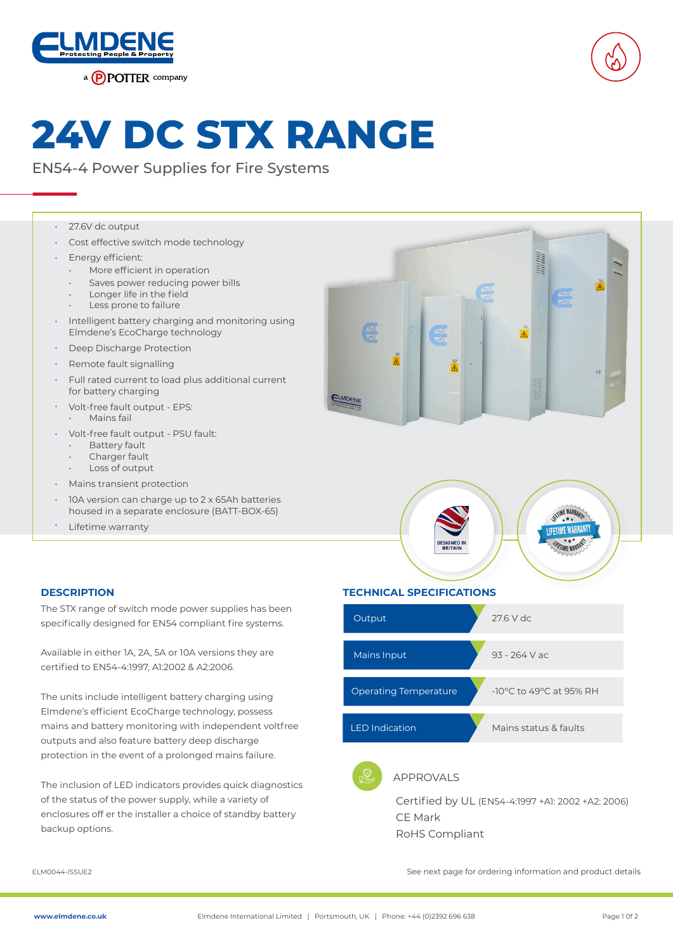



# **24V DC STX RANGE**

EN54-4 Power Supplies for Fire Systems

#### 27.6V dc output •

- Cost effective switch mode technology •
- Energy efficient: •
	- More efficient in operation
	- Saves power reducing power bills
	- Longer life in the field
	- Less prone to failure
- Intelligent battery charging and monitoring using Elmdene's EcoCharge technology •
- Deep Discharge Protection •
- Remote fault signalling •
- Full rated current to load plus additional current for battery charging •
- Volt-free fault output EPS: •
	- Mains fail
- Volt-free fault output PSU fault: •
	- **Battery fault**
	- Charger fault
	- Loss of output
- Mains transient protection •
- 10A version can charge up to 2 x 65Ah batteries housed in a separate enclosure (BATT-BOX-65) •
- Lifetime warranty •





**IFETIME WARRANT** 

The STX range of switch mode power supplies has been specifically designed for EN54 compliant fire systems.

Available in either 1A, 2A, 5A or 10A versions they are certified to EN54-4:1997, A1:2002 & A2:2006.

The units include intelligent battery charging using Elmdene's efficient EcoCharge technology, possess mains and battery monitoring with independent voltfree outputs and also feature battery deep discharge protection in the event of a prolonged mains failure.

The inclusion of LED indicators provides quick diagnostics of the status of the power supply, while a variety of enclosures off er the installer a choice of standby battery backup options.

#### **DESCRIPTION TECHNICAL SPECIFICATIONS**



CE Mark RoHS Compliant

ELM0044-ISSUE2 See next page for ordering information and product details